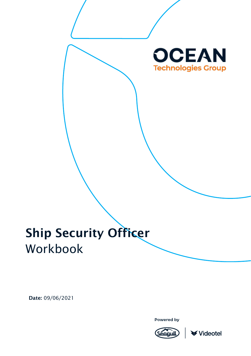

# Ship Security Officer Workbook

Date: 09/06/2021

Powered by



**≮Videotel**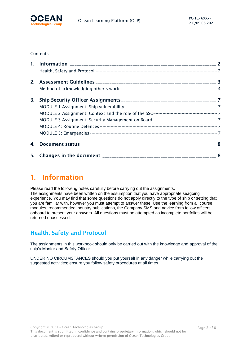

#### **Contents**

| 3. |  |
|----|--|
|    |  |
|    |  |
|    |  |
|    |  |
|    |  |
| 4. |  |
|    |  |

# <span id="page-1-0"></span>1. Information

Please read the following notes carefully before carrying out the assignments. The assignments have been written on the assumption that you have appropriate seagoing experience. You may find that some questions do not apply directly to the type of ship or setting that you are familiar with, however you must attempt to answer these. Use the learning from all course modules, recommended industry publications, the Company SMS and advice from fellow officers onboard to present your answers. All questions must be attempted as incomplete portfolios will be returned unassessed.

# <span id="page-1-1"></span>Health, Safety and Protocol

The assignments in this workbook should only be carried out with the knowledge and approval of the ship's Master and Safety Officer.

UNDER NO CIRCUMSTANCES should you put yourself in any danger while carrying out the suggested activities; ensure you follow safety procedures at all times.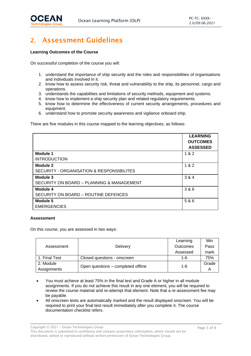

# <span id="page-2-0"></span>2. Assessment Guidelines

#### **Learning Outcomes of the Course**

On successful completion of the course you will:

- 1. understand the importance of ship security and the roles and responsibilities of organisations and individuals involved in it.
- 2. know how to assess security risk, threat and vulnerability to the ship, its personnel, cargo and operations.
- 3. understands the capabilities and limitations of security methods, equipment and systems.
- 4. know how to implement a ship security plan and related regulatory requirements.
- 5. know how to determine the effectiveness of current security arrangements, procedures and equipment.
- 6. understand how to promote security awareness and vigilance onboard ship.

There are five modules in this course mapped to the learning objectives, as follows:

|                                           | <b>LEARNING</b><br><b>OUTCOMES</b><br><b>ASSESSED</b> |
|-------------------------------------------|-------------------------------------------------------|
| Module 1                                  | 1 & 2                                                 |
| <b>INTRODUCTION</b>                       |                                                       |
| Module 2                                  | 1 & 2                                                 |
| SECURITY - ORGANISATION & RESPONSIBILITES |                                                       |
| Module 3                                  | 3 & 4                                                 |
| SECURITY ON BOARD - PLANNING & MANAGEMENT |                                                       |
| Module 4                                  | 3 & 6                                                 |
| SECURITY ON BOARD - ROUTINE DEFENCES      |                                                       |
| Module 5                                  | 5 & 6                                                 |
| <b>EMERGENCIES</b>                        |                                                       |

#### **Assessment**

On this course, you are assessed in two ways:

|               |                                    | Learning        | Min   |
|---------------|------------------------------------|-----------------|-------|
| Assessment    | <b>Delivery</b>                    | <b>Outcomes</b> | Pass  |
|               |                                    | Assessed        | mark  |
| 1. Final Test | Closed questions - onscreen        | 1-6             | 75%   |
| 2. Module     | Open questions – completed offline | $1 - 6$         | Grade |
| Assignments   |                                    |                 |       |

- You must achieve at least 75% in the final test and Grade A or higher in all module assignments. If you do not achieve this result in any one element, you will be required to review the course material and re-attempt that element. Note that a re-assessment fee may be payable.
- All onscreen tests are automatically marked and the result displayed onscreen. You will be required to print your final test result immediately after you complete it. The course documentation checklist refers.

Copyright © 2021 – Ocean Technologies Group

This document is submitted in confidence and contains proprietary information, which should not be distributed, edited or reproduced without written permission of Ocean Technologies Group.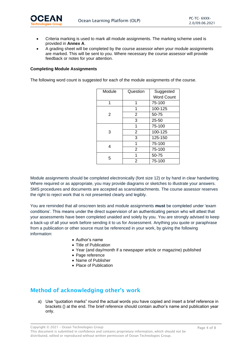

- Criteria marking is used to mark all module assignments. The marking scheme used is provided in **Annex A**.
- A grading sheet will be completed by the course assessor when your module assignments are marked. This will be sent to you. Where necessary the course assessor will provide feedback or notes for your attention.

#### **Completing Module Assignments**

The following word count is suggested for each of the module assignments of the course.

| Module | Question       | Suggested         |
|--------|----------------|-------------------|
|        |                | <b>Word Count</b> |
| 1      | 1              | 75-100            |
|        | 1              | 100-125           |
| 2      | 2              | 50-75             |
|        | 3              | $25 - 50$         |
|        | 1              | 75-100            |
| 3      | $\overline{2}$ | 100-125           |
|        | 3              | 125-150           |
| 4      | 1              | 75-100            |
|        | $\overline{2}$ | 75-100            |
| 5      | 1              | 50-75             |
|        | 2              | 75-100            |

Module assignments should be completed electronically (font size 12) or by hand in clear handwriting. Where required or as appropriate, you may provide diagrams or sketches to illustrate your answers. SMS procedures and documents are accepted as scans/attachments. The course assessor reserves the right to reject work that is not presented clearly and legibly.

You are reminded that all onscreen tests and module assignments **must** be completed under 'exam conditions'. This means under the direct supervision of an authenticating person who will attest that your assessments have been completed unaided and solely by you. You are strongly advised to keep a back-up of all your work before sending it to us for Assessment. Anything you quote or paraphrase from a publication or other source must be referenced in your work, by giving the following information:

- Author's name
- Title of Publication
- Year (and day/month if a newspaper article or magazine) published
- Page reference
- Name of Publisher
- Place of Publication

# <span id="page-3-0"></span>Method of acknowledging other's work

a) Use "quotation marks" round the actual words you have copied and insert a brief reference in brackets () at the end. The brief reference should contain author's name and publication year only.

Copyright © 2021 – Ocean Technologies Group

This document is submitted in confidence and contains proprietary information, which should not be distributed, edited or reproduced without written permission of Ocean Technologies Group.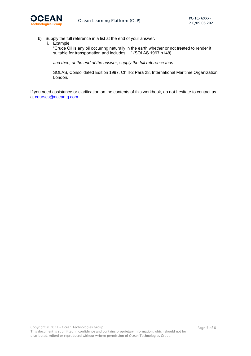

b) Supply the full reference in a list at the end of your answer.

i. Example

"Crude Oil is any oil occurring naturally in the earth whether or not treated to render it suitable for transportation and includes:…" (SOLAS 1997 p148)

*and then, at the end of the answer, supply the full reference thus*:

SOLAS, Consolidated Edition 1997, Ch II-2 Para 28, International Maritime Organization, London.

If you need assistance or clarification on the contents of this workbook, do not hesitate to contact us at [courses@oceantg.com](mailto:courses@oceantg.com)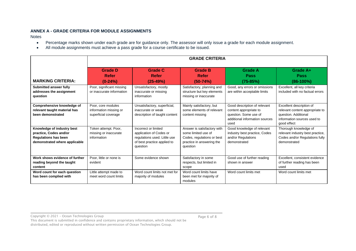#### **ANNEX A - GRADE CRITERIA FOR MODULE ASSIGNMENTS**

Notes

- Percentage marks shown under each grade are for guidance only. The assessor will only issue a grade for each module assignment.
- All module assignments must achieve a pass grade for a course certificate to be issued.

| <b>GRADE CRITERIA</b>                                                                                                |                                                                      |                                                                                                                            |                                                                                                                           |                                                                                                                           |                                                                                                                                   |
|----------------------------------------------------------------------------------------------------------------------|----------------------------------------------------------------------|----------------------------------------------------------------------------------------------------------------------------|---------------------------------------------------------------------------------------------------------------------------|---------------------------------------------------------------------------------------------------------------------------|-----------------------------------------------------------------------------------------------------------------------------------|
| <b>MARKING CRITERIA:</b>                                                                                             | <b>Grade D</b><br>Refer<br>$(0-24%)$                                 | <b>Grade C</b><br>Refer<br>$(25-49%)$                                                                                      | <b>Grade B</b><br><b>Refer</b><br>$(50-74%)$                                                                              | <b>Grade A</b><br><b>Pass</b><br>$(75-85%)$                                                                               | Grade A+<br><b>Pass</b><br>$(86-100%)$                                                                                            |
| <b>Submitted answer fully</b><br>addresses the assignment<br>question                                                | Poor, significant missing<br>or inaccurate information               | Unsatisfactory, mostly<br>inaccurate or missing<br>information                                                             | Satisfactory, planning and<br>structure but key elements<br>missing or inaccurate                                         | Good, any errors or omissions<br>are within acceptable limits                                                             | Excellent, all key criteria<br>included with no factual errors                                                                    |
| Comprehensive knowledge of<br>relevant taught material has<br>been demonstrated                                      | Poor, core modules<br>information missing or<br>superficial coverage | Unsatisfactory, superficial,<br>inaccurate or weak<br>description of taught content                                        | Mainly satisfactory, but<br>some elements of relevant<br>content missing                                                  | Good description of relevant<br>content appropriate to<br>question. Some use of<br>additional information sources<br>used | Excellent description of<br>relevant content appropriate to<br>question. Additional<br>information sources used to<br>good effect |
| Knowledge of industry best<br>practice, Codes and/or<br><b>Regulations has been</b><br>demonstrated where applicable | Token attempt. Poor,<br>missing or inaccurate<br>information         | Incorrect or limited<br>application of Codes or<br>regulations used. Little use<br>of best practice applied to<br>question | Answer is satisfactory with<br>some limited use of<br>Codes, regulations or best<br>practice in answering the<br>question | Good knowledge of relevant<br>industry best practice, Codes<br>and/or Regulations<br>demonstrated                         | Thorough knowledge of<br>relevant industry best practice,<br>Codes and/or Regulations fully<br>demonstrated                       |
| Work shows evidence of further<br>reading beyond the taught<br>content                                               | Poor, little or none is<br>evident                                   | Some evidence shown                                                                                                        | Satisfactory in some<br>respects, but limited in<br>scope                                                                 | Good use of further reading<br>shown in answer                                                                            | Excellent, consistent evidence<br>of further reading has been<br>used                                                             |
| Word count for each question<br>has been complied with                                                               | Little attempt made to<br>meet word count limits                     | Word count limits not met for<br>majority of modules                                                                       | Word count limits have<br>been met for majority of<br>modules                                                             | Word count limits met                                                                                                     | Word count limits met                                                                                                             |

Copyright © 2021 – Ocean Technologies Group

Page 6 of 8

This document is submitted in confidence and contains proprietary information, which should not be distributed, edited or reproduced without written permission of Ocean Technologies Group.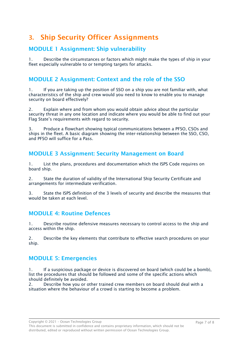# <span id="page-6-0"></span>3. Ship Security Officer Assignments

# <span id="page-6-1"></span>MODULE 1 Assignment: Ship vulnerability

1. Describe the circumstances or factors which might make the types of ship in your fleet especially vulnerable to or tempting targets for attacks.

### <span id="page-6-2"></span>MODULE 2 Assignment: Context and the role of the SSO

1. If you are taking up the position of SSO on a ship you are not familiar with, what characteristics of the ship and crew would you need to know to enable you to manage security on board effectively?

2. Explain where and from whom you would obtain advice about the particular security threat in any one location and indicate where you would be able to find out your Flag State's requirements with regard to security.

3. Produce a flowchart showing typical communications between a PFSO, CSOs and ships in the fleet. A basic diagram showing the inter-relationship between the SSO, CSO, and PFSO will suffice for a Pass.

### <span id="page-6-3"></span>MODULE 3 Assignment: Security Management on Board

1. List the plans, procedures and documentation which the ISPS Code requires on board ship.

2. State the duration of validity of the International Ship Security Certificate and arrangements for intermediate verification.

3. State the ISPS definition of the 3 levels of security and describe the measures that would be taken at each level.

# <span id="page-6-4"></span>MODULE 4: Routine Defences

1. Describe routine defensive measures necessary to control access to the ship and access within the ship.

2. Describe the key elements that contribute to effective search procedures on your ship.

# <span id="page-6-5"></span>MODULE 5: Emergencies

If a suspicious package or device is discovered on board (which could be a bomb), list the procedures that should be followed and some of the specific actions which should definitely be avoided.

2. Describe how you or other trained crew members on board should deal with a situation where the behaviour of a crowd is starting to become a problem.

Copyright © 2021 – Ocean Technologies Group

This document is submitted in confidence and contains proprietary information, which should not be distributed, edited or reproduced without written permission of Ocean Technologies Group.